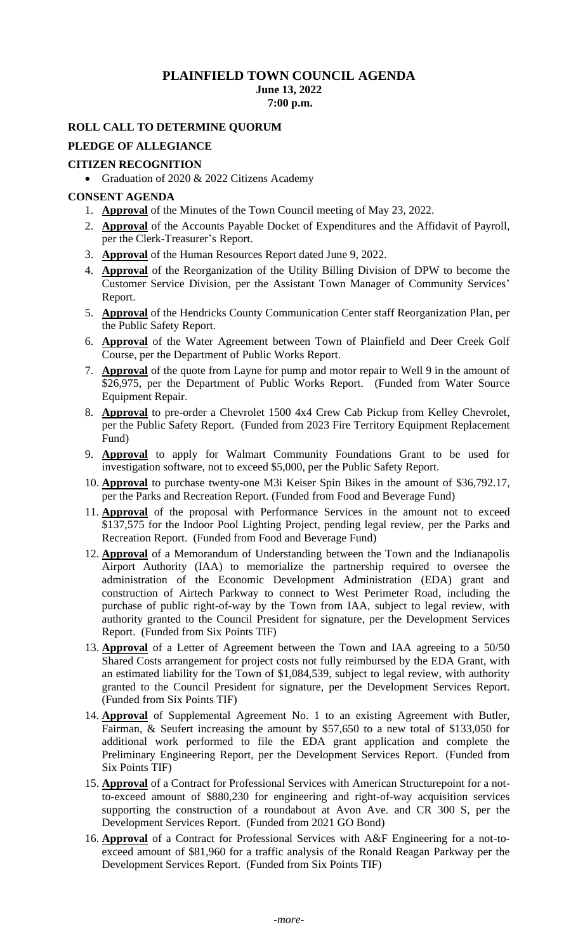## **PLAINFIELD TOWN COUNCIL AGENDA June 13, 2022 7:00 p.m.**

### **ROLL CALL TO DETERMINE QUORUM**

#### **PLEDGE OF ALLEGIANCE**

#### **CITIZEN RECOGNITION**

• Graduation of 2020 & 2022 Citizens Academy

#### **CONSENT AGENDA**

- 1. **Approval** of the Minutes of the Town Council meeting of May 23, 2022.
- 2. **Approval** of the Accounts Payable Docket of Expenditures and the Affidavit of Payroll, per the Clerk-Treasurer's Report.
- 3. **Approval** of the Human Resources Report dated June 9, 2022.
- 4. **Approval** of the Reorganization of the Utility Billing Division of DPW to become the Customer Service Division, per the Assistant Town Manager of Community Services' Report.
- 5. **Approval** of the Hendricks County Communication Center staff Reorganization Plan, per the Public Safety Report.
- 6. **Approval** of the Water Agreement between Town of Plainfield and Deer Creek Golf Course, per the Department of Public Works Report.
- 7. **Approval** of the quote from Layne for pump and motor repair to Well 9 in the amount of \$26,975, per the Department of Public Works Report. (Funded from Water Source Equipment Repair.
- 8. **Approval** to pre-order a Chevrolet 1500 4x4 Crew Cab Pickup from Kelley Chevrolet, per the Public Safety Report. (Funded from 2023 Fire Territory Equipment Replacement Fund)
- 9. **Approval** to apply for Walmart Community Foundations Grant to be used for investigation software, not to exceed \$5,000, per the Public Safety Report.
- 10. **Approval** to purchase twenty-one M3i Keiser Spin Bikes in the amount of \$36,792.17, per the Parks and Recreation Report. (Funded from Food and Beverage Fund)
- 11. **Approval** of the proposal with Performance Services in the amount not to exceed \$137,575 for the Indoor Pool Lighting Project, pending legal review, per the Parks and Recreation Report. (Funded from Food and Beverage Fund)
- 12. **Approval** of a Memorandum of Understanding between the Town and the Indianapolis Airport Authority (IAA) to memorialize the partnership required to oversee the administration of the Economic Development Administration (EDA) grant and construction of Airtech Parkway to connect to West Perimeter Road, including the purchase of public right-of-way by the Town from IAA, subject to legal review, with authority granted to the Council President for signature, per the Development Services Report. (Funded from Six Points TIF)
- 13. **Approval** of a Letter of Agreement between the Town and IAA agreeing to a 50/50 Shared Costs arrangement for project costs not fully reimbursed by the EDA Grant, with an estimated liability for the Town of \$1,084,539, subject to legal review, with authority granted to the Council President for signature, per the Development Services Report. (Funded from Six Points TIF)
- 14. **Approval** of Supplemental Agreement No. 1 to an existing Agreement with Butler, Fairman, & Seufert increasing the amount by \$57,650 to a new total of \$133,050 for additional work performed to file the EDA grant application and complete the Preliminary Engineering Report, per the Development Services Report. (Funded from Six Points TIF)
- 15. **Approval** of a Contract for Professional Services with American Structurepoint for a notto-exceed amount of \$880,230 for engineering and right-of-way acquisition services supporting the construction of a roundabout at Avon Ave. and CR 300 S, per the Development Services Report. (Funded from 2021 GO Bond)
- 16. **Approval** of a Contract for Professional Services with A&F Engineering for a not-toexceed amount of \$81,960 for a traffic analysis of the Ronald Reagan Parkway per the Development Services Report. (Funded from Six Points TIF)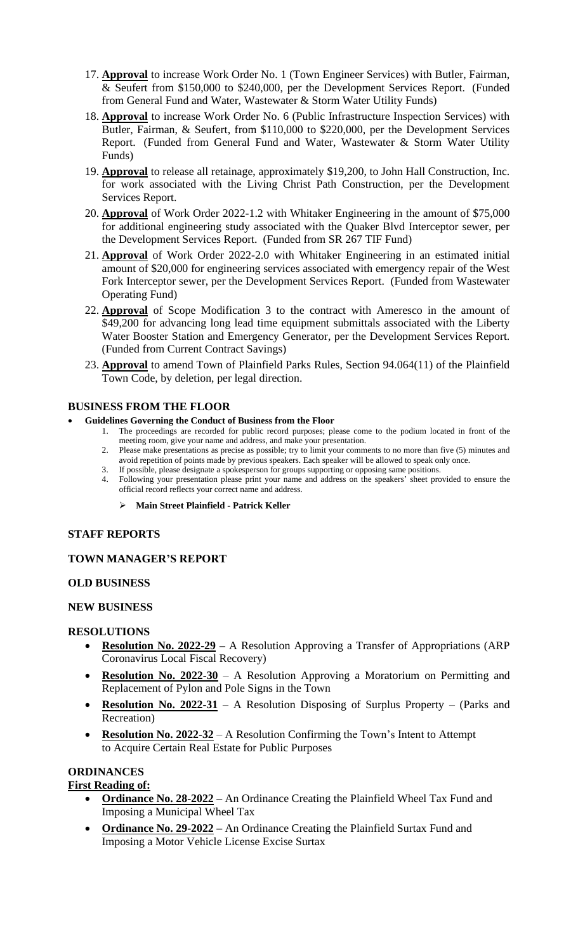- 17. **Approval** to increase Work Order No. 1 (Town Engineer Services) with Butler, Fairman, & Seufert from \$150,000 to \$240,000, per the Development Services Report. (Funded from General Fund and Water, Wastewater & Storm Water Utility Funds)
- 18. **Approval** to increase Work Order No. 6 (Public Infrastructure Inspection Services) with Butler, Fairman, & Seufert, from \$110,000 to \$220,000, per the Development Services Report. (Funded from General Fund and Water, Wastewater & Storm Water Utility Funds)
- 19. **Approval** to release all retainage, approximately \$19,200, to John Hall Construction, Inc. for work associated with the Living Christ Path Construction, per the Development Services Report.
- 20. **Approval** of Work Order 2022-1.2 with Whitaker Engineering in the amount of \$75,000 for additional engineering study associated with the Quaker Blvd Interceptor sewer, per the Development Services Report. (Funded from SR 267 TIF Fund)
- 21. **Approval** of Work Order 2022-2.0 with Whitaker Engineering in an estimated initial amount of \$20,000 for engineering services associated with emergency repair of the West Fork Interceptor sewer, per the Development Services Report. (Funded from Wastewater Operating Fund)
- 22. **Approval** of Scope Modification 3 to the contract with Ameresco in the amount of \$49,200 for advancing long lead time equipment submittals associated with the Liberty Water Booster Station and Emergency Generator, per the Development Services Report. (Funded from Current Contract Savings)
- 23. **Approval** to amend Town of Plainfield Parks Rules, Section 94.064(11) of the Plainfield Town Code, by deletion, per legal direction.

### **BUSINESS FROM THE FLOOR**

- **Guidelines Governing the Conduct of Business from the Floor**
	- 1. The proceedings are recorded for public record purposes; please come to the podium located in front of the meeting room, give your name and address, and make your presentation.
	- 2. Please make presentations as precise as possible; try to limit your comments to no more than five (5) minutes and avoid repetition of points made by previous speakers. Each speaker will be allowed to speak only once.
	- 3. If possible, please designate a spokesperson for groups supporting or opposing same positions. 4. Following your presentation please print your name and address on the speakers' sheet provided to ensure the
	- official record reflects your correct name and address.
		- ➢ **Main Street Plainfield - Patrick Keller**

### **STAFF REPORTS**

### **TOWN MANAGER'S REPORT**

### **OLD BUSINESS**

### **NEW BUSINESS**

### **RESOLUTIONS**

- **Resolution No. 2022-29 –** A Resolution Approving a Transfer of Appropriations (ARP Coronavirus Local Fiscal Recovery)
- **Resolution No. 2022-30** A Resolution Approving a Moratorium on Permitting and Replacement of Pylon and Pole Signs in the Town
- **Resolution No. 2022-31** A Resolution Disposing of Surplus Property (Parks and Recreation)
- **Resolution No. 2022-32** A Resolution Confirming the Town's Intent to Attempt to Acquire Certain Real Estate for Public Purposes

# **ORDINANCES**

# **First Reading of:**

- **Ordinance No. 28-2022 –** An Ordinance Creating the Plainfield Wheel Tax Fund and Imposing a Municipal Wheel Tax
- **Ordinance No. 29-2022** An Ordinance Creating the Plainfield Surtax Fund and Imposing a Motor Vehicle License Excise Surtax